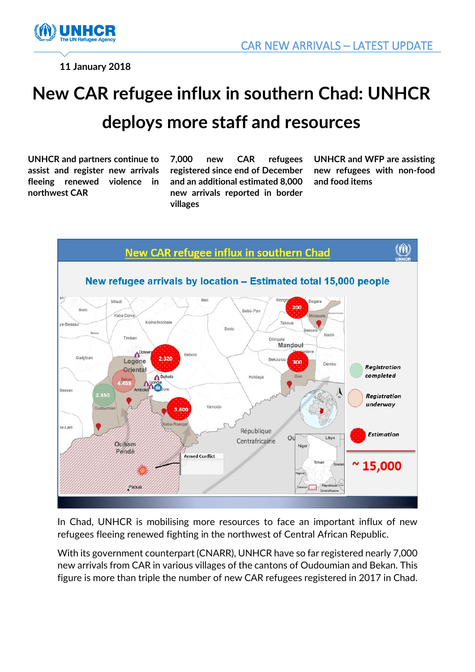

**11 January 2018**

## **New CAR refugee influx in southern Chad: UNHCR deploys more staff and resources**

**UNHCR and partners continue to assist and register new arrivals fleeing renewed violence in northwest CAR** 

**7,000 new CAR refugees registered since end of December and an additional estimated 8,000 new arrivals reported in border villages** 

**UNHCR and WFP are assisting new refugees with non-food and food items** 



In Chad, UNHCR is mobilising more resources to face an important influx of new refugees fleeing renewed fighting in the northwest of Central African Republic.

With its government counterpart (CNARR), UNHCR have so far registered nearly 7,000 new arrivals from CAR in various villages of the cantons of Oudoumian and Bekan. This figure is more than triple the number of new CAR refugees registered in 2017 in Chad.